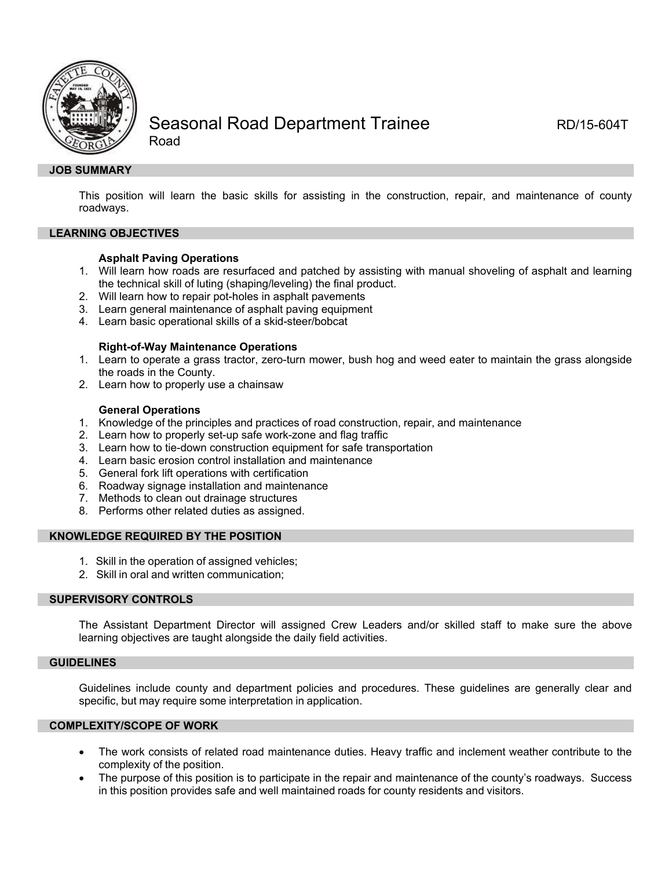

# Seasonal Road Department Trainee RD/15-604T

Road

## **JOB SUMMARY**

This position will learn the basic skills for assisting in the construction, repair, and maintenance of county roadways.

## **LEARNING OBJECTIVES**

## **Asphalt Paving Operations**

- 1. Will learn how roads are resurfaced and patched by assisting with manual shoveling of asphalt and learning the technical skill of luting (shaping/leveling) the final product.
- 2. Will learn how to repair pot-holes in asphalt pavements
- 3. Learn general maintenance of asphalt paving equipment
- 4. Learn basic operational skills of a skid-steer/bobcat

## **Right-of-Way Maintenance Operations**

- 1. Learn to operate a grass tractor, zero-turn mower, bush hog and weed eater to maintain the grass alongside the roads in the County.
- 2. Learn how to properly use a chainsaw

## **General Operations**

- 1. Knowledge of the principles and practices of road construction, repair, and maintenance
- 2. Learn how to properly set-up safe work-zone and flag traffic
- 3. Learn how to tie-down construction equipment for safe transportation
- 4. Learn basic erosion control installation and maintenance
- 5. General fork lift operations with certification
- 6. Roadway signage installation and maintenance
- 7. Methods to clean out drainage structures
- 8. Performs other related duties as assigned.

#### **KNOWLEDGE REQUIRED BY THE POSITION**

- 1. Skill in the operation of assigned vehicles;
- 2. Skill in oral and written communication;

## **SUPERVISORY CONTROLS**

The Assistant Department Director will assigned Crew Leaders and/or skilled staff to make sure the above learning objectives are taught alongside the daily field activities.

#### **GUIDELINES**

Guidelines include county and department policies and procedures. These guidelines are generally clear and specific, but may require some interpretation in application.

## **COMPLEXITY/SCOPE OF WORK**

- The work consists of related road maintenance duties. Heavy traffic and inclement weather contribute to the complexity of the position.
- The purpose of this position is to participate in the repair and maintenance of the county's roadways. Success in this position provides safe and well maintained roads for county residents and visitors.